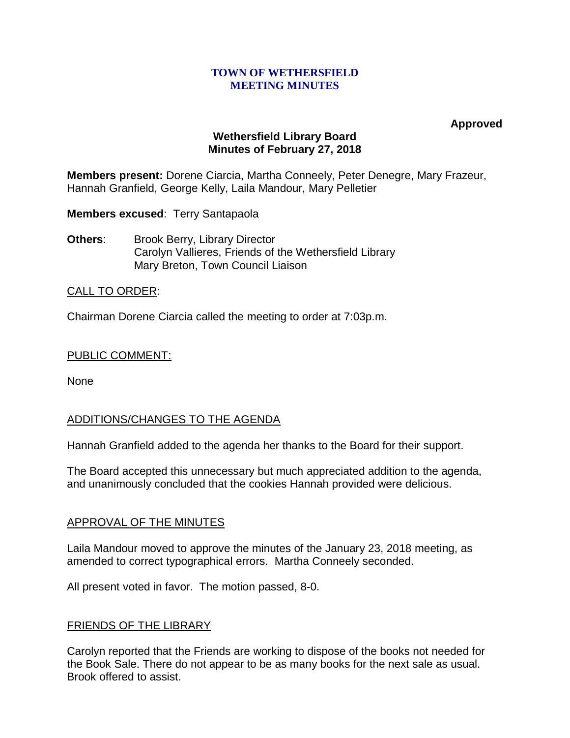### **TOWN OF WETHERSFIELD MEETING MINUTES**

**Approved**

# **Wethersfield Library Board Minutes of February 27, 2018**

**Members present:** Dorene Ciarcia, Martha Conneely, Peter Denegre, Mary Frazeur, Hannah Granfield, George Kelly, Laila Mandour, Mary Pelletier

**Members excused**: Terry Santapaola

**Others:** Brook Berry, Library Director Carolyn Vallieres, Friends of the Wethersfield Library Mary Breton, Town Council Liaison

# CALL TO ORDER:

Chairman Dorene Ciarcia called the meeting to order at 7:03p.m.

### PUBLIC COMMENT:

None

# ADDITIONS/CHANGES TO THE AGENDA

Hannah Granfield added to the agenda her thanks to the Board for their support.

The Board accepted this unnecessary but much appreciated addition to the agenda, and unanimously concluded that the cookies Hannah provided were delicious.

### APPROVAL OF THE MINUTES

Laila Mandour moved to approve the minutes of the January 23, 2018 meeting, as amended to correct typographical errors. Martha Conneely seconded.

All present voted in favor. The motion passed, 8-0.

### FRIENDS OF THE LIBRARY

Carolyn reported that the Friends are working to dispose of the books not needed for the Book Sale. There do not appear to be as many books for the next sale as usual. Brook offered to assist.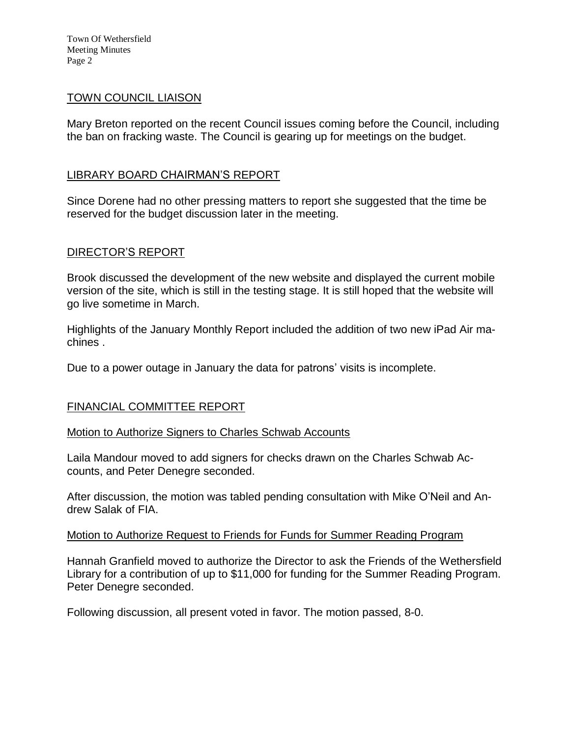Town Of Wethersfield Meeting Minutes Page 2

### TOWN COUNCIL LIAISON

Mary Breton reported on the recent Council issues coming before the Council, including the ban on fracking waste. The Council is gearing up for meetings on the budget.

### LIBRARY BOARD CHAIRMAN'S REPORT

Since Dorene had no other pressing matters to report she suggested that the time be reserved for the budget discussion later in the meeting.

### DIRECTOR'S REPORT

Brook discussed the development of the new website and displayed the current mobile version of the site, which is still in the testing stage. It is still hoped that the website will go live sometime in March.

Highlights of the January Monthly Report included the addition of two new iPad Air machines .

Due to a power outage in January the data for patrons' visits is incomplete.

### FINANCIAL COMMITTEE REPORT

#### Motion to Authorize Signers to Charles Schwab Accounts

Laila Mandour moved to add signers for checks drawn on the Charles Schwab Accounts, and Peter Denegre seconded.

After discussion, the motion was tabled pending consultation with Mike O'Neil and Andrew Salak of FIA.

#### Motion to Authorize Request to Friends for Funds for Summer Reading Program

Hannah Granfield moved to authorize the Director to ask the Friends of the Wethersfield Library for a contribution of up to \$11,000 for funding for the Summer Reading Program. Peter Denegre seconded.

Following discussion, all present voted in favor. The motion passed, 8-0.